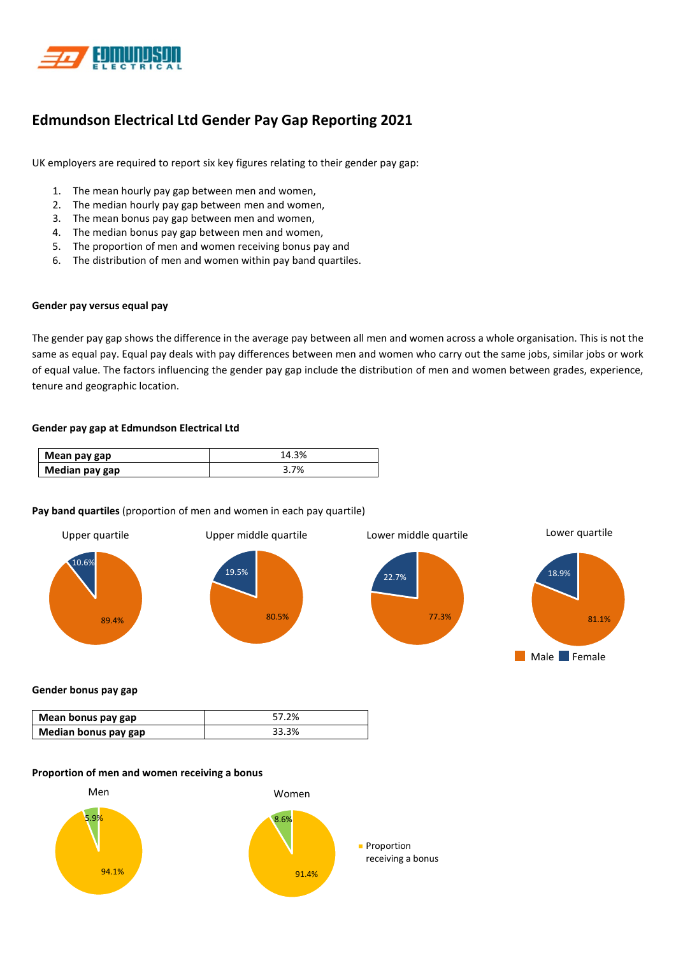

# **Edmundson Electrical Ltd Gender Pay Gap Reporting 2021**

UK employers are required to report six key figures relating to their gender pay gap:

- 1. The mean hourly pay gap between men and women,
- 2. The median hourly pay gap between men and women,
- 3. The mean bonus pay gap between men and women,
- 4. The median bonus pay gap between men and women,
- 5. The proportion of men and women receiving bonus pay and
- 6. The distribution of men and women within pay band quartiles.

# **Gender pay versus equal pay**

The gender pay gap shows the difference in the average pay between all men and women across a whole organisation. This is not the same as equal pay. Equal pay deals with pay differences between men and women who carry out the same jobs, similar jobs or work of equal value. The factors influencing the gender pay gap include the distribution of men and women between grades, experience, tenure and geographic location.

## **Gender pay gap at Edmundson Electrical Ltd**

| Mean pay gap   | 14.3% |
|----------------|-------|
| Median pay gap | 70/   |

# **Pay band quartiles** (proportion of men and women in each pay quartile)



# **Gender bonus pay gap** 10.1%

| Mean bonus pay gap   | 57.2% |
|----------------------|-------|
| Median bonus pay gap | 33.3% |
|                      |       |

#### **Proportion of men and women receiving a bonus**